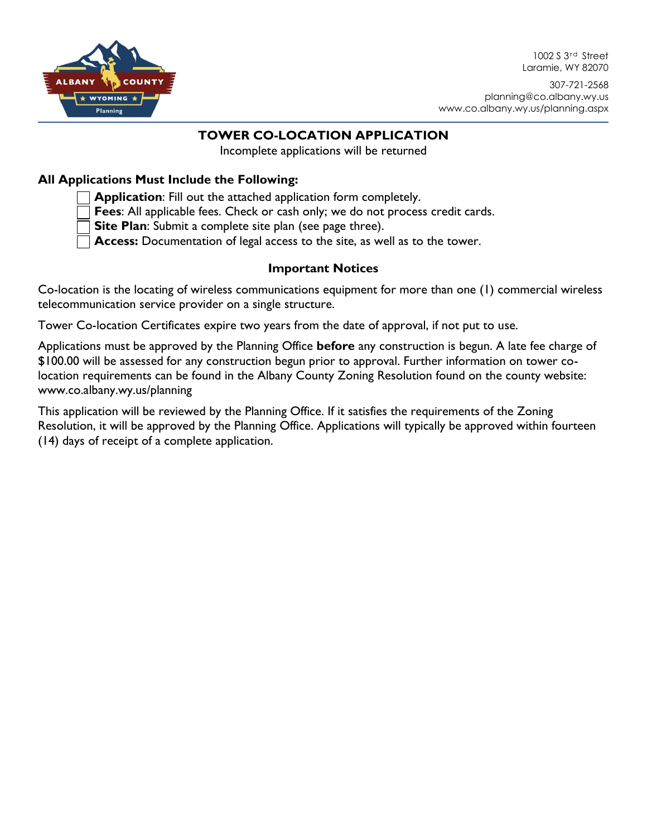

1002 S 3<sup>rd</sup> Street Laramie, WY 82070

307-721-2568 planning@co.albany.wy.us www.co.albany.wy.us/planning.aspx

# **TOWER CO-LOCATION APPLICATION**

Incomplete applications will be returned

## **All Applications Must Include the Following:**

**Application**: Fill out the attached application form completely.

**Fees**: All applicable fees. Check or cash only; we do not process credit cards.

**Site Plan**: Submit a complete site plan (see page three).

**Access:** Documentation of legal access to the site, as well as to the tower.

#### **Important Notices**

Co-location is the locating of wireless communications equipment for more than one (1) commercial wireless telecommunication service provider on a single structure.

Tower Co-location Certificates expire two years from the date of approval, if not put to use.

Applications must be approved by the Planning Office **before** any construction is begun. A late fee charge of \$100.00 will be assessed for any construction begun prior to approval. Further information on tower colocation requirements can be found in the Albany County Zoning Resolution found on the county website: www.co.albany.wy.us/planning

This application will be reviewed by the Planning Office. If it satisfies the requirements of the Zoning Resolution, it will be approved by the Planning Office. Applications will typically be approved within fourteen (14) days of receipt of a complete application.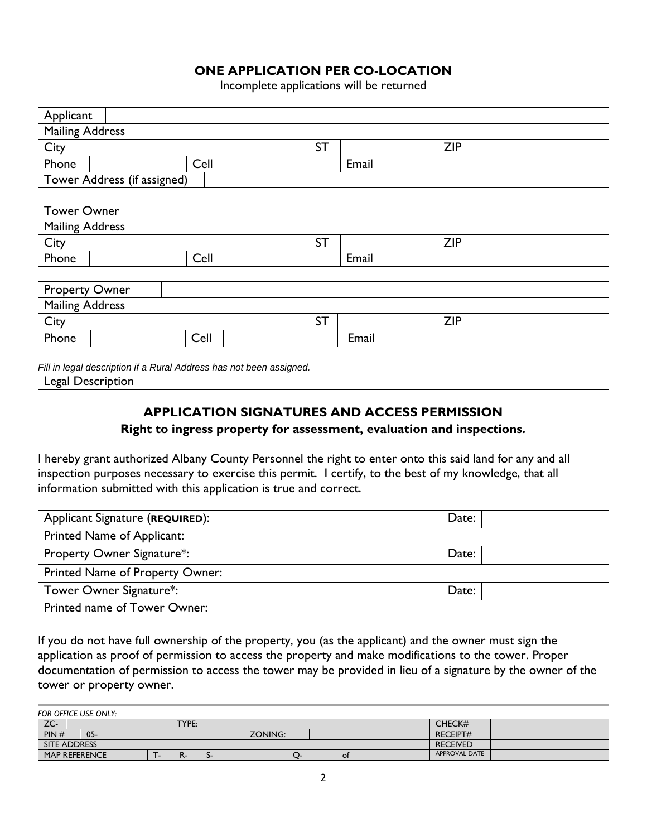## **ONE APPLICATION PER CO-LOCATION**

Incomplete applications will be returned

| Applicant                                                           |                        |  |      |           |           |       |            |            |  |
|---------------------------------------------------------------------|------------------------|--|------|-----------|-----------|-------|------------|------------|--|
| <b>Mailing Address</b>                                              |                        |  |      |           |           |       |            |            |  |
| City                                                                |                        |  |      |           | <b>ST</b> |       |            | <b>ZIP</b> |  |
| Phone                                                               |                        |  | Cell |           |           | Email |            |            |  |
| Tower Address (if assigned)                                         |                        |  |      |           |           |       |            |            |  |
|                                                                     |                        |  |      |           |           |       |            |            |  |
| <b>Tower Owner</b>                                                  |                        |  |      |           |           |       |            |            |  |
|                                                                     | <b>Mailing Address</b> |  |      |           |           |       |            |            |  |
| City                                                                |                        |  |      | <b>ST</b> |           |       | <b>ZIP</b> |            |  |
| Phone                                                               |                        |  | Cell |           |           | Email |            |            |  |
|                                                                     |                        |  |      |           |           |       |            |            |  |
| <b>Property Owner</b>                                               |                        |  |      |           |           |       |            |            |  |
| <b>Mailing Address</b>                                              |                        |  |      |           |           |       |            |            |  |
| City                                                                |                        |  |      |           | <b>ST</b> |       |            | <b>ZIP</b> |  |
| Phone                                                               |                        |  | Cell |           |           | Email |            |            |  |
|                                                                     |                        |  |      |           |           |       |            |            |  |
| Fill in legal description if a Rural Address has not been assigned. |                        |  |      |           |           |       |            |            |  |
| Legal Description                                                   |                        |  |      |           |           |       |            |            |  |

# **APPLICATION SIGNATURES AND ACCESS PERMISSION**

**Right to ingress property for assessment, evaluation and inspections.**

I hereby grant authorized Albany County Personnel the right to enter onto this said land for any and all inspection purposes necessary to exercise this permit. I certify, to the best of my knowledge, that all information submitted with this application is true and correct.

| Applicant Signature (REQUIRED): | Date: |
|---------------------------------|-------|
| Printed Name of Applicant:      |       |
| Property Owner Signature*:      | Date: |
| Printed Name of Property Owner: |       |
| Tower Owner Signature*:         | Date: |
| Printed name of Tower Owner:    |       |

If you do not have full ownership of the property, you (as the applicant) and the owner must sign the application as proof of permission to access the property and make modifications to the tower. Proper documentation of permission to access the tower may be provided in lieu of a signature by the owner of the tower or property owner.

| FOR OFFICE USE ONLY: |                      |  |       |  |  |         |  |           |                      |  |
|----------------------|----------------------|--|-------|--|--|---------|--|-----------|----------------------|--|
| ZC-                  |                      |  | TYPE: |  |  |         |  |           | CHECK#               |  |
| PIN#                 | $05 -$               |  |       |  |  | ZONING: |  |           | <b>RECEIPT#</b>      |  |
| <b>SITE ADDRESS</b>  |                      |  |       |  |  |         |  |           | <b>RECEIVED</b>      |  |
|                      | <b>MAP REFERENCE</b> |  | n-    |  |  |         |  | <b>OI</b> | <b>APPROVAL DATE</b> |  |